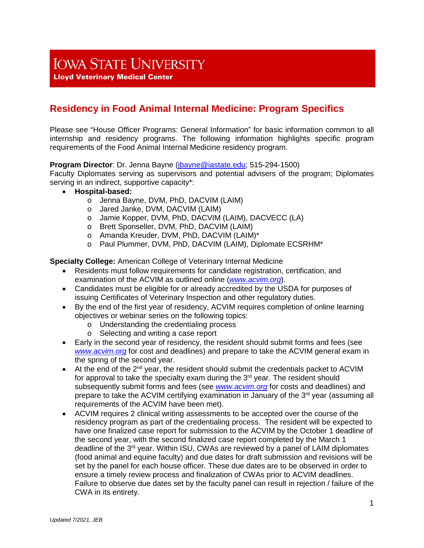# **IOWA STATE UNIVERSITY**

**Lloyd Veterinary Medical Center** 

# **Residency in Food Animal Internal Medicine: Program Specifics**

Please see "House Officer Programs: General Information" for basic information common to all internship and residency programs. The following information highlights specific program requirements of the Food Animal Internal Medicine residency program.

#### **Program Director**: Dr. Jenna Bayne [\(jbayne@iastate.edu;](mailto:jbayne@iastate.edu) 515-294-1500)

Faculty Diplomates serving as supervisors and potential advisers of the program; Diplomates serving in an indirect, supportive capacity\*:

- **Hospital-based:**
	- o Jenna Bayne, DVM, PhD, DACVIM (LAIM)
	- o Jared Janke, DVM, DACVIM (LAIM)
	- o Jamie Kopper, DVM, PhD, DACVIM (LAIM), DACVECC (LA)
	- o Brett Sponseller, DVM, PhD, DACVIM (LAIM)
	- o Amanda Kreuder, DVM, PhD, DACVIM (LAIM)\*
	- o Paul Plummer, DVM, PhD, DACVIM (LAIM), Diplomate ECSRHM\*

**Specialty College:** American College of Veterinary Internal Medicine

- Residents must follow requirements for candidate registration, certification, and examination of the ACVIM as outlined online (*[www.acvim.org](http://www.acvim.org/)*).
- Candidates must be eligible for or already accredited by the USDA for purposes of issuing Certificates of Veterinary Inspection and other regulatory duties.
- By the end of the first year of residency, ACVIM requires completion of online learning objectives or webinar series on the following topics:
	- o Understanding the credentialing process
	- o Selecting and writing a case report
- Early in the second year of residency, the resident should submit forms and fees (see *[www.acvim.org](http://www.acvim.org/)* for cost and deadlines) and prepare to take the ACVIM general exam in the spring of the second year.
- $\bullet$  At the end of the 2<sup>nd</sup> year, the resident should submit the credentials packet to ACVIM for approval to take the specialty exam during the  $3<sup>rd</sup>$  year. The resident should subsequently submit forms and fees (see *[www.acvim.org](http://www.acvim.org/)* for costs and deadlines) and prepare to take the ACVIM certifying examination in January of the 3<sup>rd</sup> year (assuming all requirements of the ACVIM have been met).
- ACVIM requires 2 clinical writing assessments to be accepted over the course of the residency program as part of the credentialing process. The resident will be expected to have one finalized case report for submission to the ACVIM by the October 1 deadline of the second year, with the second finalized case report completed by the March 1 deadline of the 3<sup>rd</sup> year. Within ISU, CWAs are reviewed by a panel of LAIM diplomates (food animal and equine faculty) and due dates for draft submission and revisions will be set by the panel for each house officer. These due dates are to be observed in order to ensure a timely review process and finalization of CWAs prior to ACVIM deadlines. Failure to observe due dates set by the faculty panel can result in rejection / failure of the CWA in its entirety.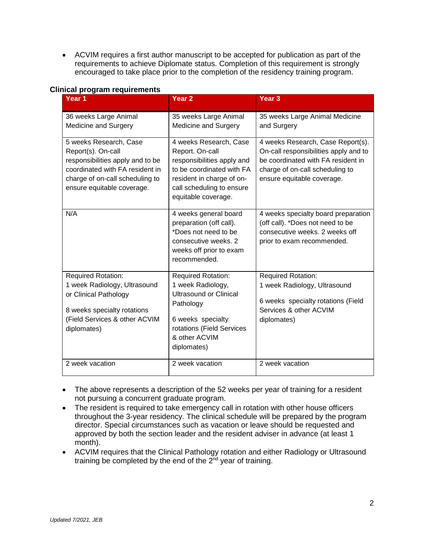• ACVIM requires a first author manuscript to be accepted for publication as part of the requirements to achieve Diplomate status. Completion of this requirement is strongly encouraged to take place prior to the completion of the residency training program.

| iniyar prvyram reyun chichtə<br>Year <sub>1</sub>                                                                                                                                    | Year <sub>2</sub>                                                                                                                                                                     | Year <sub>3</sub>                                                                                                                                                                 |
|--------------------------------------------------------------------------------------------------------------------------------------------------------------------------------------|---------------------------------------------------------------------------------------------------------------------------------------------------------------------------------------|-----------------------------------------------------------------------------------------------------------------------------------------------------------------------------------|
| 36 weeks Large Animal<br>Medicine and Surgery                                                                                                                                        | 35 weeks Large Animal<br>Medicine and Surgery                                                                                                                                         | 35 weeks Large Animal Medicine<br>and Surgery                                                                                                                                     |
| 5 weeks Research, Case<br>Report(s). On-call<br>responsibilities apply and to be<br>coordinated with FA resident in<br>charge of on-call scheduling to<br>ensure equitable coverage. | 4 weeks Research, Case<br>Report. On-call<br>responsibilities apply and<br>to be coordinated with FA<br>resident in charge of on-<br>call scheduling to ensure<br>equitable coverage. | 4 weeks Research, Case Report(s).<br>On-call responsibilities apply and to<br>be coordinated with FA resident in<br>charge of on-call scheduling to<br>ensure equitable coverage. |
| N/A                                                                                                                                                                                  | 4 weeks general board<br>preparation (off call).<br>*Does not need to be<br>consecutive weeks. 2<br>weeks off prior to exam<br>recommended.                                           | 4 weeks specialty board preparation<br>(off call). *Does not need to be<br>consecutive weeks. 2 weeks off<br>prior to exam recommended.                                           |
| <b>Required Rotation:</b><br>1 week Radiology, Ultrasound<br>or Clinical Pathology<br>8 weeks specialty rotations<br>(Field Services & other ACVIM<br>diplomates)                    | <b>Required Rotation:</b><br>1 week Radiology,<br><b>Ultrasound or Clinical</b><br>Pathology<br>6 weeks specialty<br>rotations (Field Services<br>& other ACVIM<br>diplomates)        | <b>Required Rotation:</b><br>1 week Radiology, Ultrasound<br>6 weeks specialty rotations (Field<br>Services & other ACVIM<br>diplomates)                                          |
| 2 week vacation                                                                                                                                                                      | 2 week vacation                                                                                                                                                                       | 2 week vacation                                                                                                                                                                   |

### **Clinical program requirements**

- The above represents a description of the 52 weeks per year of training for a resident not pursuing a concurrent graduate program.
- The resident is required to take emergency call in rotation with other house officers throughout the 3-year residency. The clinical schedule will be prepared by the program director. Special circumstances such as vacation or leave should be requested and approved by both the section leader and the resident adviser in advance (at least 1 month).
- ACVIM requires that the Clinical Pathology rotation and either Radiology or Ultrasound training be completed by the end of the  $2<sup>nd</sup>$  year of training.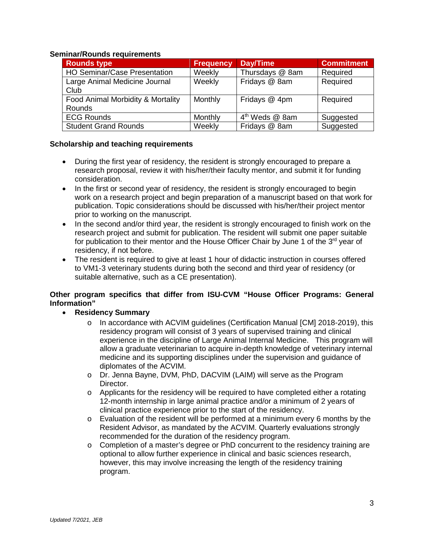#### **Seminar/Rounds requirements**

| <b>Rounds type</b>                  | <b>Frequency</b> | Day/Time                   | <b>Commitment</b> |
|-------------------------------------|------------------|----------------------------|-------------------|
| <b>HO Seminar/Case Presentation</b> | Weekly           | Thursdays @ 8am            | Required          |
| Large Animal Medicine Journal       | Weekly           | Fridays @ 8am              | Required          |
| Club                                |                  |                            |                   |
| Food Animal Morbidity & Mortality   | Monthly          | Fridays @ 4pm              | Required          |
| Rounds                              |                  |                            |                   |
| <b>ECG Rounds</b>                   | Monthly          | 4 <sup>th</sup> Weds @ 8am | Suggested         |
| <b>Student Grand Rounds</b>         | Weekly           | Fridays @ 8am              | Suggested         |

#### **Scholarship and teaching requirements**

- During the first year of residency, the resident is strongly encouraged to prepare a research proposal, review it with his/her/their faculty mentor, and submit it for funding consideration.
- In the first or second year of residency, the resident is strongly encouraged to begin work on a research project and begin preparation of a manuscript based on that work for publication. Topic considerations should be discussed with his/her/their project mentor prior to working on the manuscript.
- In the second and/or third year, the resident is strongly encouraged to finish work on the research project and submit for publication. The resident will submit one paper suitable for publication to their mentor and the House Officer Chair by June 1 of the  $3<sup>rd</sup>$  year of residency, if not before.
- The resident is required to give at least 1 hour of didactic instruction in courses offered to VM1-3 veterinary students during both the second and third year of residency (or suitable alternative, such as a CE presentation).

# **Other program specifics that differ from ISU-CVM "House Officer Programs: General Information"**

- **Residency Summary**
	- o In accordance with ACVIM guidelines (Certification Manual [CM] 2018-2019), this residency program will consist of 3 years of supervised training and clinical experience in the discipline of Large Animal Internal Medicine. This program will allow a graduate veterinarian to acquire in-depth knowledge of veterinary internal medicine and its supporting disciplines under the supervision and guidance of diplomates of the ACVIM.
	- o Dr. Jenna Bayne, DVM, PhD, DACVIM (LAIM) will serve as the Program Director.
	- $\circ$  Applicants for the residency will be required to have completed either a rotating 12-month internship in large animal practice and/or a minimum of 2 years of clinical practice experience prior to the start of the residency.
	- o Evaluation of the resident will be performed at a minimum every 6 months by the Resident Advisor, as mandated by the ACVIM. Quarterly evaluations strongly recommended for the duration of the residency program.
	- o Completion of a master's degree or PhD concurrent to the residency training are optional to allow further experience in clinical and basic sciences research, however, this may involve increasing the length of the residency training program.